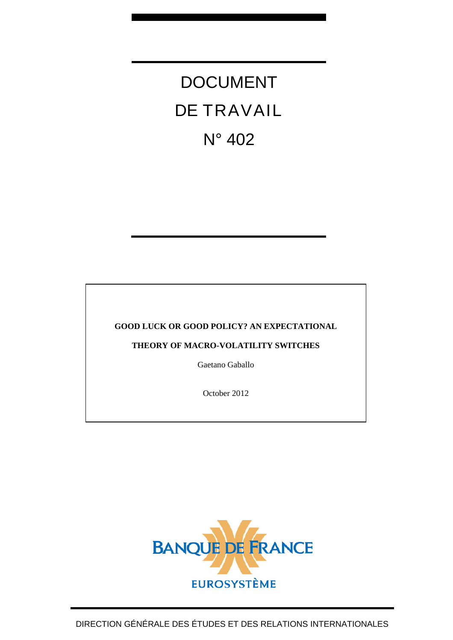DOCUMENT DE TRAVAIL N° 402

**GOOD LUCK OR GOOD POLICY? AN EXPECTATIONAL** 

**THEORY OF MACRO-VOLATILITY SWITCHES**

Gaetano Gaballo

October 2012

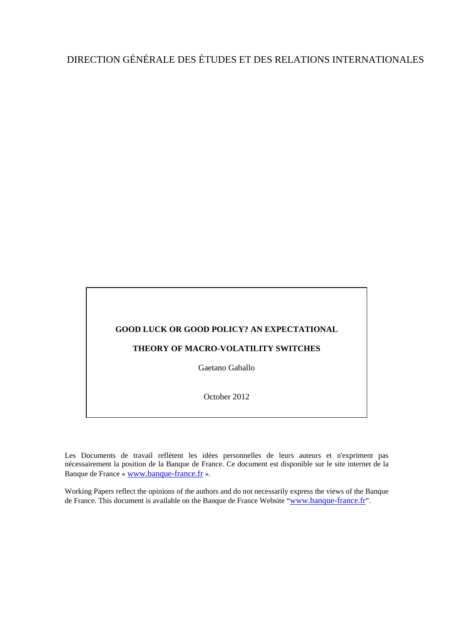# DIRECTION GÉNÉRALE DES ÉTUDES ET DES RELATIONS INTERNATIONALES

## **GOOD LUCK OR GOOD POLICY? AN EXPECTATIONAL**

## **THEORY OF MACRO-VOLATILITY SWITCHES**

Gaetano Gaballo

October 2012

Les Documents de travail reflètent les idées personnelles de leurs auteurs et n'expriment pas nécessairement la position de la Banque de France. Ce document est disponible sur le site internet de la Banque de France « [www.banque-france.fr](http://www.banque-france.fr/) ».

Working Papers reflect the opinions of the authors and do not necessarily express the views of the Banque de France. This document is available on the Banque de France Website "[www.banque-france.fr](http://www.banque-france.fr/)".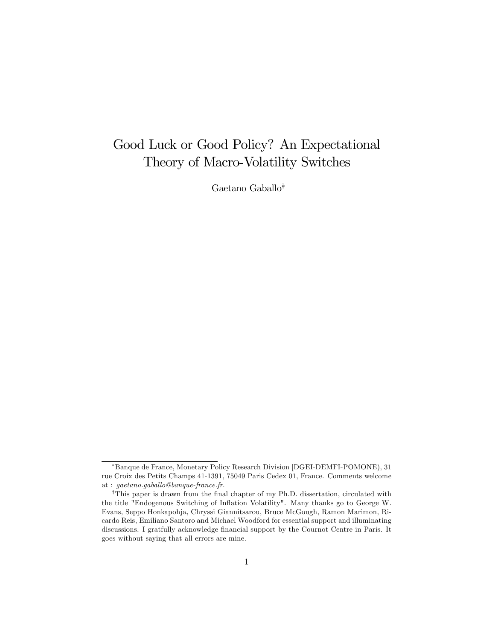# Good Luck or Good Policy? An Expectational Theory of Macro-Volatility Switches

Gaetano Gaballo<sup>\*</sup>

Banque de France, Monetary Policy Research Division [DGEI-DEMFI-POMONE), 31 rue Croix des Petits Champs 41-1391, 75049 Paris Cedex 01, France. Comments welcome at : gaetano.gaballo@banque-france.fr.

<sup>&</sup>lt;sup>†</sup>This paper is drawn from the final chapter of my Ph.D. dissertation, circulated with the title "Endogenous Switching of Ináation Volatility". Many thanks go to George W. Evans, Seppo Honkapohja, Chryssi Giannitsarou, Bruce McGough, Ramon Marimon, Ricardo Reis, Emiliano Santoro and Michael Woodford for essential support and illuminating discussions. I gratfully acknowledge financial support by the Cournot Centre in Paris. It goes without saying that all errors are mine.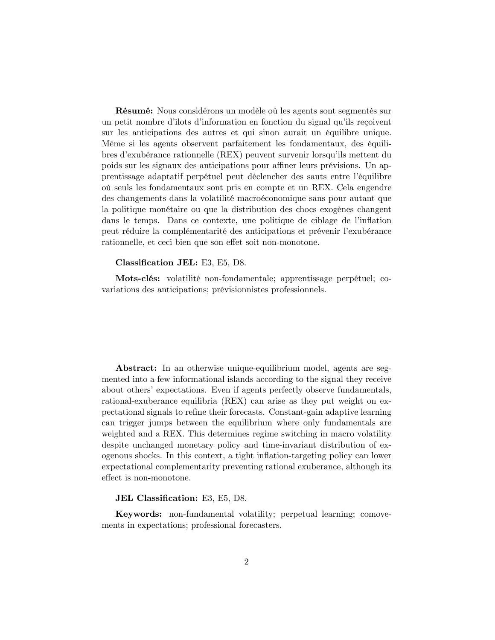Résumé: Nous considérons un modèle où les agents sont segmentés sur un petit nombre d'îlots d'information en fonction du signal qu'ils reçoivent sur les anticipations des autres et qui sinon aurait un équilibre unique. Même si les agents observent parfaitement les fondamentaux, des équilibres d'exubérance rationnelle (REX) peuvent survenir lorsqu'ils mettent du poids sur les signaux des anticipations pour affiner leurs prévisions. Un apprentissage adaptatif perpétuel peut déclencher des sauts entre l'équilibre où seuls les fondamentaux sont pris en compte et un REX. Cela engendre des changements dans la volatilité macroéconomique sans pour autant que la politique monétaire ou que la distribution des chocs exogènes changent dans le temps. Dans ce contexte, une politique de ciblage de l'inflation peut réduire la complémentarité des anticipations et prévenir l'exubérance rationnelle, et ceci bien que son effet soit non-monotone.

#### Classification JEL: E3, E5, D8.

Mots-clés: volatilité non-fondamentale; apprentissage perpétuel; covariations des anticipations; prévisionnistes professionnels.

Abstract: In an otherwise unique-equilibrium model, agents are segmented into a few informational islands according to the signal they receive about others' expectations. Even if agents perfectly observe fundamentals, rational-exuberance equilibria (REX) can arise as they put weight on expectational signals to reÖne their forecasts. Constant-gain adaptive learning can trigger jumps between the equilibrium where only fundamentals are weighted and a REX. This determines regime switching in macro volatility despite unchanged monetary policy and time-invariant distribution of exogenous shocks. In this context, a tight ináation-targeting policy can lower expectational complementarity preventing rational exuberance, although its effect is non-monotone.

#### JEL Classification: E3, E5, D8.

Keywords: non-fundamental volatility; perpetual learning; comovements in expectations; professional forecasters.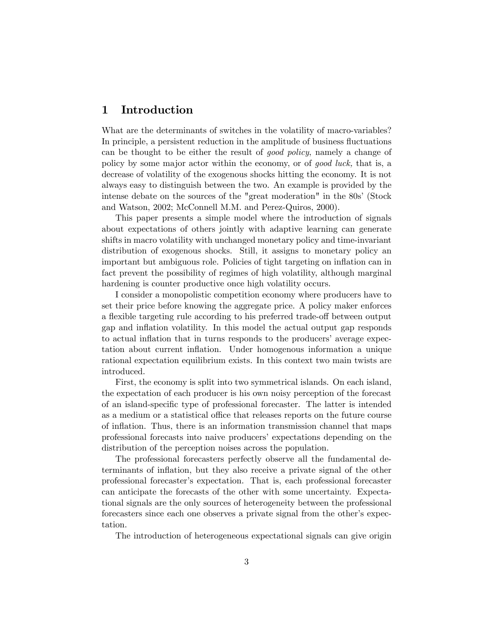## 1 Introduction

What are the determinants of switches in the volatility of macro-variables? In principle, a persistent reduction in the amplitude of business fluctuations can be thought to be either the result of good policy, namely a change of policy by some major actor within the economy, or of good luck, that is, a decrease of volatility of the exogenous shocks hitting the economy. It is not always easy to distinguish between the two. An example is provided by the intense debate on the sources of the "great moderation" in the 80s' (Stock and Watson, 2002; McConnell M.M. and Perez-Quiros, 2000).

This paper presents a simple model where the introduction of signals about expectations of others jointly with adaptive learning can generate shifts in macro volatility with unchanged monetary policy and time-invariant distribution of exogenous shocks. Still, it assigns to monetary policy an important but ambiguous role. Policies of tight targeting on inflation can in fact prevent the possibility of regimes of high volatility, although marginal hardening is counter productive once high volatility occurs.

I consider a monopolistic competition economy where producers have to set their price before knowing the aggregate price. A policy maker enforces a flexible targeting rule according to his preferred trade-off between output gap and ináation volatility. In this model the actual output gap responds to actual inflation that in turns responds to the producers' average expectation about current ináation. Under homogenous information a unique rational expectation equilibrium exists. In this context two main twists are introduced.

First, the economy is split into two symmetrical islands. On each island, the expectation of each producer is his own noisy perception of the forecast of an island-specific type of professional forecaster. The latter is intended as a medium or a statistical office that releases reports on the future course of ináation. Thus, there is an information transmission channel that maps professional forecasts into naive producersí expectations depending on the distribution of the perception noises across the population.

The professional forecasters perfectly observe all the fundamental determinants of inflation, but they also receive a private signal of the other professional forecaster's expectation. That is, each professional forecaster can anticipate the forecasts of the other with some uncertainty. Expectational signals are the only sources of heterogeneity between the professional forecasters since each one observes a private signal from the otherís expectation.

The introduction of heterogeneous expectational signals can give origin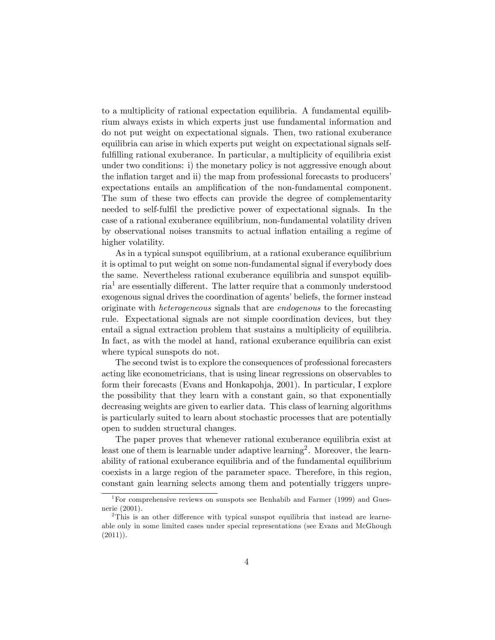to a multiplicity of rational expectation equilibria. A fundamental equilibrium always exists in which experts just use fundamental information and do not put weight on expectational signals. Then, two rational exuberance equilibria can arise in which experts put weight on expectational signals selffulfilling rational exuberance. In particular, a multiplicity of equilibria exist under two conditions: i) the monetary policy is not aggressive enough about the inflation target and ii) the map from professional forecasts to producers expectations entails an amplification of the non-fundamental component. The sum of these two effects can provide the degree of complementarity needed to self-fulfil the predictive power of expectational signals. In the case of a rational exuberance equilibrium, non-fundamental volatility driven by observational noises transmits to actual inflation entailing a regime of higher volatility.

As in a typical sunspot equilibrium, at a rational exuberance equilibrium it is optimal to put weight on some non-fundamental signal if everybody does the same. Nevertheless rational exuberance equilibria and sunspot equilibria<sup>1</sup> are essentially different. The latter require that a commonly understood exogenous signal drives the coordination of agents' beliefs, the former instead originate with heterogeneous signals that are endogenous to the forecasting rule. Expectational signals are not simple coordination devices, but they entail a signal extraction problem that sustains a multiplicity of equilibria. In fact, as with the model at hand, rational exuberance equilibria can exist where typical sunspots do not.

The second twist is to explore the consequences of professional forecasters acting like econometricians, that is using linear regressions on observables to form their forecasts (Evans and Honkapohja, 2001). In particular, I explore the possibility that they learn with a constant gain, so that exponentially decreasing weights are given to earlier data. This class of learning algorithms is particularly suited to learn about stochastic processes that are potentially open to sudden structural changes.

The paper proves that whenever rational exuberance equilibria exist at least one of them is learnable under adaptive learning<sup>2</sup>. Moreover, the learnability of rational exuberance equilibria and of the fundamental equilibrium coexists in a large region of the parameter space. Therefore, in this region, constant gain learning selects among them and potentially triggers unpre-

<sup>&</sup>lt;sup>1</sup>For comprehensive reviews on sunspots see Benhabib and Farmer (1999) and Guesnerie (2001).

<sup>&</sup>lt;sup>2</sup>This is an other difference with typical sunspot equilibria that instead are learneable only in some limited cases under special representations (see Evans and McGhough  $(2011)$ .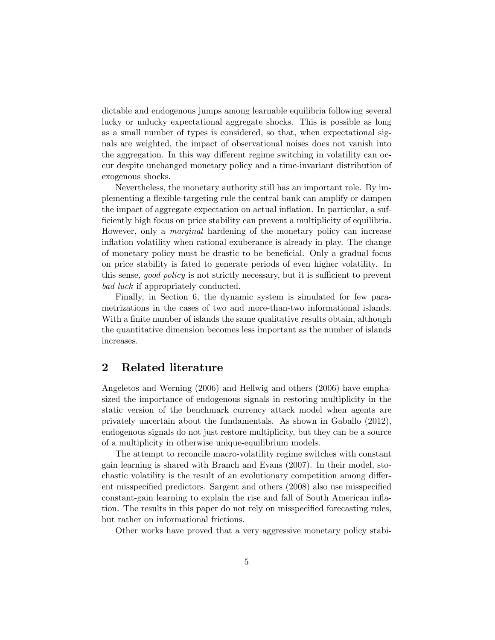dictable and endogenous jumps among learnable equilibria following several lucky or unlucky expectational aggregate shocks. This is possible as long as a small number of types is considered, so that, when expectational signals are weighted, the impact of observational noises does not vanish into the aggregation. In this way different regime switching in volatility can occur despite unchanged monetary policy and a time-invariant distribution of exogenous shocks.

Nevertheless, the monetary authority still has an important role. By implementing a áexible targeting rule the central bank can amplify or dampen the impact of aggregate expectation on actual inflation. In particular, a suf-Öciently high focus on price stability can prevent a multiplicity of equilibria. However, only a marginal hardening of the monetary policy can increase inflation volatility when rational exuberance is already in play. The change of monetary policy must be drastic to be beneficial. Only a gradual focus on price stability is fated to generate periods of even higher volatility. In this sense, *good policy* is not strictly necessary, but it is sufficient to prevent bad luck if appropriately conducted.

Finally, in Section 6, the dynamic system is simulated for few parametrizations in the cases of two and more-than-two informational islands. With a finite number of islands the same qualitative results obtain, although the quantitative dimension becomes less important as the number of islands increases.

## 2 Related literature

Angeletos and Werning (2006) and Hellwig and others (2006) have emphasized the importance of endogenous signals in restoring multiplicity in the static version of the benchmark currency attack model when agents are privately uncertain about the fundamentals. As shown in Gaballo (2012), endogenous signals do not just restore multiplicity, but they can be a source of a multiplicity in otherwise unique-equilibrium models.

The attempt to reconcile macro-volatility regime switches with constant gain learning is shared with Branch and Evans (2007). In their model, stochastic volatility is the result of an evolutionary competition among different misspecified predictors. Sargent and others (2008) also use misspecified constant-gain learning to explain the rise and fall of South American inflation. The results in this paper do not rely on misspecified forecasting rules, but rather on informational frictions.

Other works have proved that a very aggressive monetary policy stabi-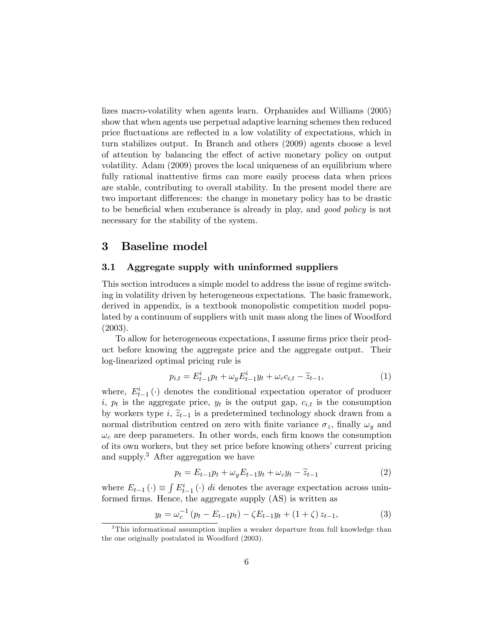lizes macro-volatility when agents learn. Orphanides and Williams (2005) show that when agents use perpetual adaptive learning schemes then reduced price fluctuations are reflected in a low volatility of expectations, which in turn stabilizes output. In Branch and others (2009) agents choose a level of attention by balancing the effect of active monetary policy on output volatility. Adam (2009) proves the local uniqueness of an equilibrium where fully rational inattentive firms can more easily process data when prices are stable, contributing to overall stability. In the present model there are two important differences: the change in monetary policy has to be drastic to be beneficial when exuberance is already in play, and good policy is not necessary for the stability of the system.

### 3 Baseline model

#### 3.1 Aggregate supply with uninformed suppliers

This section introduces a simple model to address the issue of regime switching in volatility driven by heterogeneous expectations. The basic framework, derived in appendix, is a textbook monopolistic competition model populated by a continuum of suppliers with unit mass along the lines of Woodford (2003).

To allow for heterogeneous expectations, I assume firms price their product before knowing the aggregate price and the aggregate output. Their log-linearized optimal pricing rule is

$$
p_{i,t} = E_{t-1}^i p_t + \omega_y E_{t-1}^i y_t + \omega_c c_{i,t} - \tilde{z}_{t-1},
$$
\n(1)

where,  $E_{t-1}^i(\cdot)$  denotes the conditional expectation operator of producer i,  $p_t$  is the aggregate price,  $y_t$  is the output gap,  $c_{i,t}$  is the consumption by workers type i,  $\tilde{z}_{t-1}$  is a predetermined technology shock drawn from a normal distribution centred on zero with finite variance  $\sigma_z$ , finally  $\omega_y$  and  $\omega_c$  are deep parameters. In other words, each firm knows the consumption of its own workers, but they set price before knowing others' current pricing and supply.<sup>3</sup> After aggregation we have

$$
p_t = E_{t-1}p_t + \omega_y E_{t-1}y_t + \omega_c y_t - \widetilde{z}_{t-1}
$$
\n<sup>(2)</sup>

where  $E_{t-1}(\cdot) \equiv \int E_{t-1}^i(\cdot) dt$  denotes the average expectation across uninformed firms. Hence, the aggregate supply (AS) is written as

$$
y_t = \omega_c^{-1} (p_t - E_{t-1} p_t) - \zeta E_{t-1} y_t + (1 + \zeta) z_{t-1}, \tag{3}
$$

<sup>&</sup>lt;sup>3</sup>This informational assumption implies a weaker departure from full knowledge than the one originally postulated in Woodford (2003).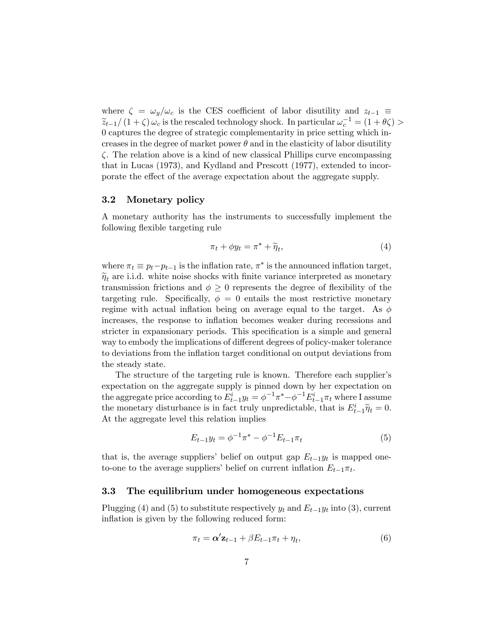where  $\zeta = \omega_y/\omega_c$  is the CES coefficient of labor disutility and  $z_{t-1} \equiv$  $\widetilde{z}_{t-1}/(1+\zeta)\omega_c$  is the rescaled technology shock. In particular  $\omega_c^{-1} = (1+\theta\zeta) >$ 0 captures the degree of strategic complementarity in price setting which increases in the degree of market power  $\theta$  and in the elasticity of labor disutility . The relation above is a kind of new classical Phillips curve encompassing that in Lucas (1973), and Kydland and Prescott (1977), extended to incorporate the effect of the average expectation about the aggregate supply.

#### 3.2 Monetary policy

A monetary authority has the instruments to successfully implement the following flexible targeting rule

$$
\pi_t + \phi y_t = \pi^* + \widetilde{\eta}_t,\tag{4}
$$

where  $\pi_t \equiv p_t - p_{t-1}$  is the inflation rate,  $\pi^*$  is the announced inflation target,  $\widetilde{\eta}_t$  are i.i.d. white noise shocks with finite variance interpreted as monetary transmission frictions and  $\phi \geq 0$  represents the degree of flexibility of the targeting rule. Specifically,  $\phi = 0$  entails the most restrictive monetary regime with actual inflation being on average equal to the target. As  $\phi$ increases, the response to inflation becomes weaker during recessions and stricter in expansionary periods. This specification is a simple and general way to embody the implications of different degrees of policy-maker tolerance to deviations from the inflation target conditional on output deviations from the steady state.

The structure of the targeting rule is known. Therefore each supplier's expectation on the aggregate supply is pinned down by her expectation on the aggregate price according to  $E_{t-1}^i y_t = \phi^{-1} \pi^* - \phi^{-1} E_{t-1}^i \pi_t$  where I assume the monetary disturbance is in fact truly unpredictable, that is  $E_{t-1}^i \tilde{\eta}_t = 0$ . At the aggregate level this relation implies

$$
E_{t-1}y_t = \phi^{-1}\pi^* - \phi^{-1}E_{t-1}\pi_t
$$
\n(5)

that is, the average suppliers' belief on output gap  $E_{t-1}y_t$  is mapped oneto-one to the average suppliers' belief on current inflation  $E_{t-1}\pi_t$ .

#### 3.3 The equilibrium under homogeneous expectations

Plugging (4) and (5) to substitute respectively  $y_t$  and  $E_{t-1}y_t$  into (3), current inflation is given by the following reduced form:

$$
\pi_t = \alpha' \mathbf{z}_{t-1} + \beta E_{t-1} \pi_t + \eta_t,\tag{6}
$$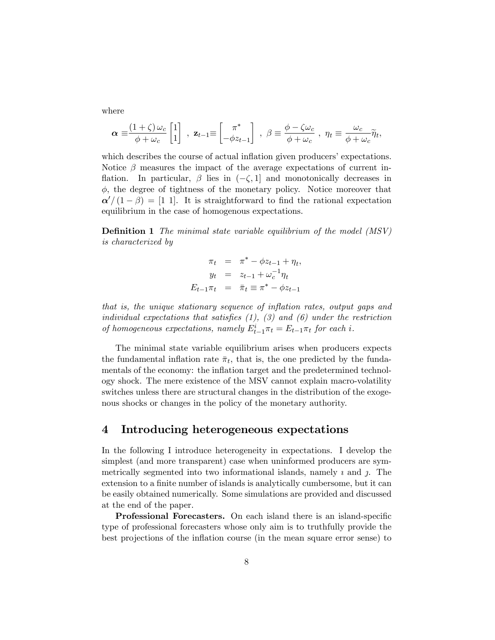where

$$
\pmb{\alpha} \equiv \stackrel{\textstyle (1 + \zeta)\,\omega_c}{\phi + \omega_c} \begin{bmatrix} 1 \\ 1 \end{bmatrix} \; , \; \mathbf{z}_{t-1} \equiv \begin{bmatrix} \pi^* \\ -\phi z_{t-1} \end{bmatrix} \; , \; \beta \equiv \frac{\phi - \zeta \omega_c}{\phi + \omega_c} \; , \; \eta_t \equiv \frac{\omega_c}{\phi + \omega_c} \widetilde{\eta}_t,
$$

which describes the course of actual inflation given producers' expectations. Notice  $\beta$  measures the impact of the average expectations of current inflation. In particular,  $\beta$  lies in  $(-\zeta, 1]$  and monotonically decreases in  $\phi$ , the degree of tightness of the monetary policy. Notice moreover that  $\alpha'$  (1 –  $\beta$ ) = [1 1]. It is straightforward to find the rational expectation equilibrium in the case of homogenous expectations.

**Definition 1** The minimal state variable equilibrium of the model (MSV) is characterized by

$$
\pi_t = \pi^* - \phi z_{t-1} + \eta_t,
$$
  

$$
y_t = z_{t-1} + \omega_c^{-1} \eta_t
$$
  

$$
E_{t-1} \pi_t = \bar{\pi}_t \equiv \pi^* - \phi z_{t-1}
$$

that is, the unique stationary sequence of inflation rates, output gaps and individual expectations that satisfies  $(1)$ ,  $(3)$  and  $(6)$  under the restriction of homogeneous expectations, namely  $E_{t-1}^i \pi_t = E_{t-1} \pi_t$  for each i.

The minimal state variable equilibrium arises when producers expects the fundamental inflation rate  $\bar{\pi}_t$ , that is, the one predicted by the fundamentals of the economy: the inflation target and the predetermined technology shock. The mere existence of the MSV cannot explain macro-volatility switches unless there are structural changes in the distribution of the exogenous shocks or changes in the policy of the monetary authority.

#### 4 Introducing heterogeneous expectations

In the following I introduce heterogeneity in expectations. I develop the simplest (and more transparent) case when uninformed producers are symmetrically segmented into two informational islands, namely  $\imath$  and  $\jmath$ . The extension to a finite number of islands is analytically cumbersome, but it can be easily obtained numerically. Some simulations are provided and discussed at the end of the paper.

**Professional Forecasters.** On each island there is an island-specific type of professional forecasters whose only aim is to truthfully provide the best projections of the ináation course (in the mean square error sense) to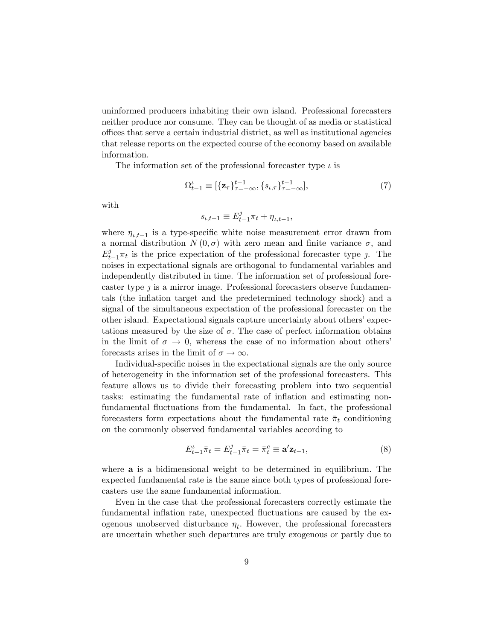uninformed producers inhabiting their own island. Professional forecasters neither produce nor consume. They can be thought of as media or statistical o¢ ces that serve a certain industrial district, as well as institutional agencies that release reports on the expected course of the economy based on available information.

The information set of the professional forecaster type  $\iota$  is

$$
\Omega_{t-1}^{t} \equiv [\{\mathbf{z}_{\tau}\}_{\tau=-\infty}^{t-1}, \{s_{\iota,\tau}\}_{\tau=-\infty}^{t-1}],
$$
\n(7)

with

$$
s_{\iota,t-1} \equiv E_{t-1}^{\jmath}\pi_t + \eta_{\iota,t-1},
$$

where  $\eta_{t,t-1}$  is a type-specific white noise measurement error drawn from a normal distribution  $N(0, \sigma)$  with zero mean and finite variance  $\sigma$ , and  $E_t^j$  $t_{t-1}^j \pi_t$  is the price expectation of the professional forecaster type j. The noises in expectational signals are orthogonal to fundamental variables and independently distributed in time. The information set of professional forecaster type  $\jmath$  is a mirror image. Professional forecasters observe fundamentals (the inflation target and the predetermined technology shock) and a signal of the simultaneous expectation of the professional forecaster on the other island. Expectational signals capture uncertainty about others' expectations measured by the size of  $\sigma$ . The case of perfect information obtains in the limit of  $\sigma \to 0$ , whereas the case of no information about others forecasts arises in the limit of  $\sigma \to \infty$ .

Individual-specific noises in the expectational signals are the only source of heterogeneity in the information set of the professional forecasters. This feature allows us to divide their forecasting problem into two sequential tasks: estimating the fundamental rate of inflation and estimating nonfundamental fluctuations from the fundamental. In fact, the professional forecasters form expectations about the fundamental rate  $\bar{\pi}_t$  conditioning on the commonly observed fundamental variables according to

$$
E_{t-1}^{\iota}\bar{\pi}_t = E_{t-1}^{\jmath}\bar{\pi}_t = \bar{\pi}_t^e \equiv \mathbf{a}'\mathbf{z}_{t-1},\tag{8}
$$

where a is a bidimensional weight to be determined in equilibrium. The expected fundamental rate is the same since both types of professional forecasters use the same fundamental information.

Even in the case that the professional forecasters correctly estimate the fundamental inflation rate, unexpected fluctuations are caused by the exogenous unobserved disturbance  $\eta_t$ . However, the professional forecasters are uncertain whether such departures are truly exogenous or partly due to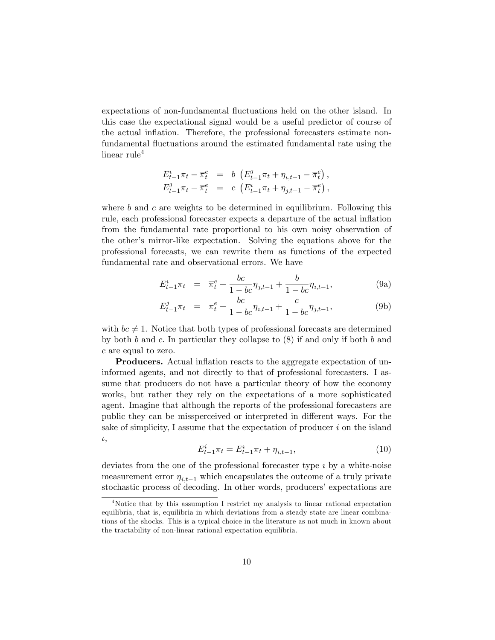expectations of non-fundamental fluctuations held on the other island. In this case the expectational signal would be a useful predictor of course of the actual inflation. Therefore, the professional forecasters estimate nonfundamental fluctuations around the estimated fundamental rate using the linear rule $4$ 

$$
E_{t-1}^t \pi_t - \overline{\pi}_t^e = b \left( E_{t-1}^j \pi_t + \eta_{t,t-1} - \overline{\pi}_t^e \right),
$$
  

$$
E_{t-1}^j \pi_t - \overline{\pi}_t^e = c \left( E_{t-1}^t \pi_t + \eta_{j,t-1} - \overline{\pi}_t^e \right),
$$

where  $b$  and  $c$  are weights to be determined in equilibrium. Following this rule, each professional forecaster expects a departure of the actual inflation from the fundamental rate proportional to his own noisy observation of the other's mirror-like expectation. Solving the equations above for the professional forecasts, we can rewrite them as functions of the expected fundamental rate and observational errors. We have

$$
E_{t-1}^i \pi_t = \overline{\pi}_t^e + \frac{bc}{1 - bc} \eta_{j,t-1} + \frac{b}{1 - bc} \eta_{i,t-1},
$$
 (9a)

$$
E_{t-1}^j \pi_t = \overline{\pi}_t^e + \frac{bc}{1 - bc} \eta_{i,t-1} + \frac{c}{1 - bc} \eta_{j,t-1},
$$
 (9b)

with  $bc \neq 1$ . Notice that both types of professional forecasts are determined by both  $b$  and  $c$ . In particular they collapse to  $(8)$  if and only if both  $b$  and c are equal to zero.

**Producers.** Actual inflation reacts to the aggregate expectation of uninformed agents, and not directly to that of professional forecasters. I assume that producers do not have a particular theory of how the economy works, but rather they rely on the expectations of a more sophisticated agent. Imagine that although the reports of the professional forecasters are public they can be missperceived or interpreted in different ways. For the sake of simplicity, I assume that the expectation of producer  $i$  on the island ,

$$
E_{t-1}^i \pi_t = E_{t-1}^i \pi_t + \eta_{i,t-1},\tag{10}
$$

deviates from the one of the professional forecaster type  $i$  by a white-noise measurement error  $\eta_{i,t-1}$  which encapsulates the outcome of a truly private stochastic process of decoding. In other words, producers' expectations are

<sup>&</sup>lt;sup>4</sup>Notice that by this assumption I restrict my analysis to linear rational expectation equilibria, that is, equilibria in which deviations from a steady state are linear combinations of the shocks. This is a typical choice in the literature as not much in known about the tractability of non-linear rational expectation equilibria.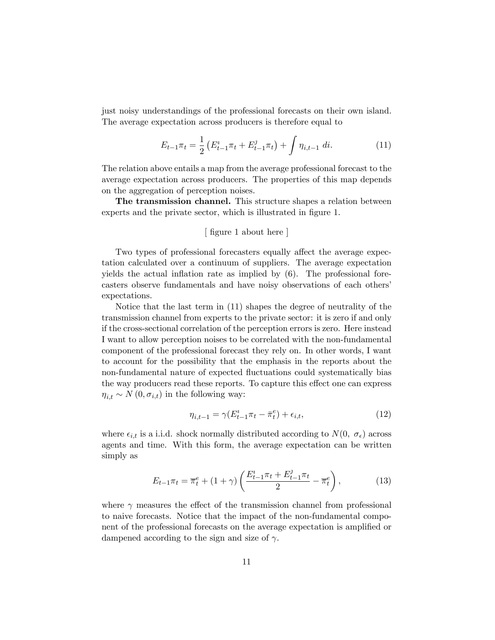just noisy understandings of the professional forecasts on their own island. The average expectation across producers is therefore equal to

$$
E_{t-1}\pi_t = \frac{1}{2} \left( E_{t-1}^i \pi_t + E_{t-1}^j \pi_t \right) + \int \eta_{i,t-1} \, di. \tag{11}
$$

The relation above entails a map from the average professional forecast to the average expectation across producers. The properties of this map depends on the aggregation of perception noises.

The transmission channel. This structure shapes a relation between experts and the private sector, which is illustrated in figure 1.

#### [ figure 1 about here ]

Two types of professional forecasters equally affect the average expectation calculated over a continuum of suppliers. The average expectation yields the actual inflation rate as implied by  $(6)$ . The professional forecasters observe fundamentals and have noisy observations of each othersí expectations.

Notice that the last term in (11) shapes the degree of neutrality of the transmission channel from experts to the private sector: it is zero if and only if the cross-sectional correlation of the perception errors is zero. Here instead I want to allow perception noises to be correlated with the non-fundamental component of the professional forecast they rely on. In other words, I want to account for the possibility that the emphasis in the reports about the non-fundamental nature of expected fluctuations could systematically bias the way producers read these reports. To capture this effect one can express  $\eta_{i,t} \sim N(0, \sigma_{i,t})$  in the following way:

$$
\eta_{i,t-1} = \gamma (E_{t-1}^i \pi_t - \bar{\pi}_t^e) + \epsilon_{i,t},\tag{12}
$$

where  $\epsilon_{i,t}$  is a i.i.d. shock normally distributed according to  $N(0, \sigma_{\epsilon})$  across agents and time. With this form, the average expectation can be written simply as

$$
E_{t-1}\pi_t = \overline{\pi}_t^e + (1+\gamma)\left(\frac{E_{t-1}^i \pi_t + E_{t-1}^j \pi_t}{2} - \overline{\pi}_t^e\right),\tag{13}
$$

where  $\gamma$  measures the effect of the transmission channel from professional to naive forecasts. Notice that the impact of the non-fundamental component of the professional forecasts on the average expectation is amplified or dampened according to the sign and size of  $\gamma$ .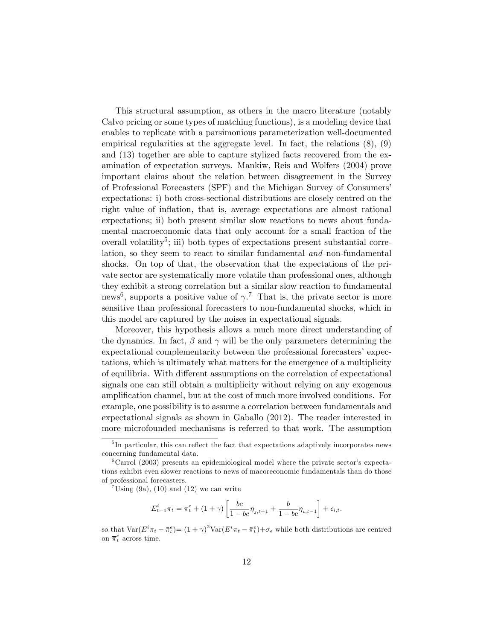This structural assumption, as others in the macro literature (notably Calvo pricing or some types of matching functions), is a modeling device that enables to replicate with a parsimonious parameterization well-documented empirical regularities at the aggregate level. In fact, the relations (8), (9) and (13) together are able to capture stylized facts recovered from the examination of expectation surveys. Mankiw, Reis and Wolfers (2004) prove important claims about the relation between disagreement in the Survey of Professional Forecasters (SPF) and the Michigan Survey of Consumersí expectations: i) both cross-sectional distributions are closely centred on the right value of inflation, that is, average expectations are almost rational expectations; ii) both present similar slow reactions to news about fundamental macroeconomic data that only account for a small fraction of the overall volatility<sup>5</sup>; iii) both types of expectations present substantial correlation, so they seem to react to similar fundamental and non-fundamental shocks. On top of that, the observation that the expectations of the private sector are systematically more volatile than professional ones, although they exhibit a strong correlation but a similar slow reaction to fundamental news<sup>6</sup>, supports a positive value of  $\gamma$ <sup>7</sup>. That is, the private sector is more sensitive than professional forecasters to non-fundamental shocks, which in this model are captured by the noises in expectational signals.

Moreover, this hypothesis allows a much more direct understanding of the dynamics. In fact,  $\beta$  and  $\gamma$  will be the only parameters determining the expectational complementarity between the professional forecasters' expectations, which is ultimately what matters for the emergence of a multiplicity of equilibria. With different assumptions on the correlation of expectational signals one can still obtain a multiplicity without relying on any exogenous amplification channel, but at the cost of much more involved conditions. For example, one possibility is to assume a correlation between fundamentals and expectational signals as shown in Gaballo (2012). The reader interested in more microfounded mechanisms is referred to that work. The assumption

<sup>7</sup>Using (9a), (10) and (12) we can write

$$
E_{t-1}^i \pi_t = \overline{\pi}_t^e + (1+\gamma)\left[\frac{bc}{1-bc}\eta_{\jmath,t-1} + \frac{b}{1-bc}\eta_{\iota,t-1}\right] + \epsilon_{i,t}.
$$

so that  $\text{Var}(E^i \pi_t - \bar{\pi}_t^e) = (1 + \gamma)^2 \text{Var}(E^i \pi_t - \bar{\pi}_t^e) + \sigma_{\epsilon}$  while both distributions are centred on  $\overline{\pi}_t^e$  across time.

 ${}^{5}$ In particular, this can reflect the fact that expectations adaptively incorporates news concerning fundamental data.

 $6<sup>6</sup>$ Carrol (2003) presents an epidemiological model where the private sector's expectations exhibit even slower reactions to news of macoreconomic fundamentals than do those of professional forecasters.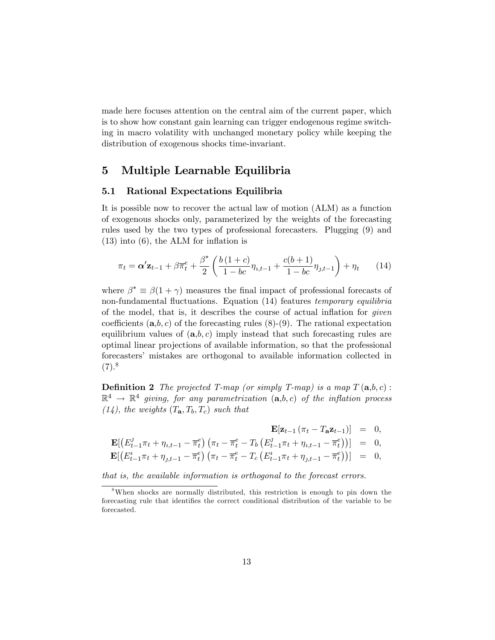made here focuses attention on the central aim of the current paper, which is to show how constant gain learning can trigger endogenous regime switching in macro volatility with unchanged monetary policy while keeping the distribution of exogenous shocks time-invariant.

## 5 Multiple Learnable Equilibria

#### 5.1 Rational Expectations Equilibria

It is possible now to recover the actual law of motion (ALM) as a function of exogenous shocks only, parameterized by the weights of the forecasting rules used by the two types of professional forecasters. Plugging (9) and  $(13)$  into  $(6)$ , the ALM for inflation is

$$
\pi_t = \alpha' \mathbf{z}_{t-1} + \beta \overline{\pi}_t^e + \frac{\beta^*}{2} \left( \frac{b(1+c)}{1-bc} \eta_{i,t-1} + \frac{c(b+1)}{1-bc} \eta_{j,t-1} \right) + \eta_t \tag{14}
$$

where  $\beta^* \equiv \beta(1+\gamma)$  measures the final impact of professional forecasts of non-fundamental fluctuations. Equation (14) features temporary equilibria of the model, that is, it describes the course of actual inflation for *given* coefficients  $(a,b,c)$  of the forecasting rules  $(8)-(9)$ . The rational expectation equilibrium values of  $(a,b,c)$  imply instead that such forecasting rules are optimal linear projections of available information, so that the professional forecastersí mistakes are orthogonal to available information collected in  $(7).<sup>8</sup>$ 

**Definition 2** The projected T-map (or simply T-map) is a map  $T(\mathbf{a},b,c)$ :  $\mathbb{R}^4 \to \mathbb{R}^4$  giving, for any parametrization  $(a,b,c)$  of the inflation process  $(14)$ , the weights  $(T_{\mathbf{a}}, T_b, T_c)$  such that

$$
\mathbf{E}[\mathbf{Z}_{t-1}(\pi_t - T_{\mathbf{a}}\mathbf{z}_{t-1})] = 0,\n\mathbf{E}[(E_{t-1}^{\jmath}\pi_t + \eta_{i,t-1} - \overline{\pi}_t^e) (\pi_t - \overline{\pi}_t^e - T_b(E_{t-1}^{\jmath}\pi_t + \eta_{i,t-1} - \overline{\pi}_t^e))] = 0,\n\mathbf{E}[(E_{t-1}^{\jmath}\pi_t + \eta_{j,t-1} - \overline{\pi}_t^e) (\pi_t - \overline{\pi}_t^e - T_c(E_{t-1}^{\jmath}\pi_t + \eta_{j,t-1} - \overline{\pi}_t^e))] = 0,
$$

that is, the available information is orthogonal to the forecast errors.

<sup>8</sup>When shocks are normally distributed, this restriction is enough to pin down the forecasting rule that identifies the correct conditional distribution of the variable to be forecasted.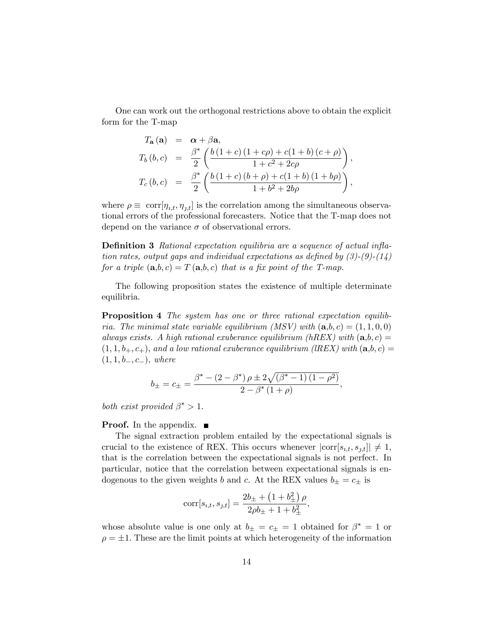One can work out the orthogonal restrictions above to obtain the explicit form for the T-map

$$
T_{\mathbf{a}}(\mathbf{a}) = \alpha + \beta \mathbf{a},
$$
  
\n
$$
T_b(b,c) = \frac{\beta^*}{2} \left( \frac{b(1+c)(1+c\rho) + c(1+b)(c+\rho)}{1+c^2+2c\rho} \right),
$$
  
\n
$$
T_c(b,c) = \frac{\beta^*}{2} \left( \frac{b(1+c)(b+\rho) + c(1+b)(1+b\rho)}{1+b^2+2b\rho} \right),
$$

where  $\rho \equiv \text{corr}[\eta_{it}, \eta_{it}]$  is the correlation among the simultaneous observational errors of the professional forecasters. Notice that the T-map does not depend on the variance  $\sigma$  of observational errors.

**Definition 3** Rational expectation equilibria are a sequence of actual inflation rates, output gaps and individual expectations as defined by  $(3)-(9)-(14)$ for a triple  $(a,b,c) = T(a,b,c)$  that is a fix point of the T-map.

The following proposition states the existence of multiple determinate equilibria.

Proposition 4 The system has one or three rational expectation equilibria. The minimal state variable equilibrium (MSV) with  $(a,b,c) = (1,1,0,0)$ always exists. A high rational exuberance equilibrium (hREX) with  $(a,b,c)$  =  $(1, 1, b_+, c_+)$ , and a low rational exuberance equilibrium (lREX) with  $(\mathbf{a}, b, c)$  =  $(1, 1, b_-, c_-),$  where

$$
b_{\pm} = c_{\pm} = \frac{\beta^* - (2 - \beta^*) \rho \pm 2\sqrt{(\beta^* - 1)(1 - \rho^2)}}{2 - \beta^*(1 + \rho)},
$$

both exist provided  $\beta^* > 1$ .

#### **Proof.** In the appendix.  $\blacksquare$

The signal extraction problem entailed by the expectational signals is crucial to the existence of REX. This occurs whenever  $|corr[s_{i,t}, s_{i,t}]| \neq 1$ , that is the correlation between the expectational signals is not perfect. In particular, notice that the correlation between expectational signals is endogenous to the given weights b and c. At the REX values  $b_{\pm} = c_{\pm}$  is

$$
corr[s_{i,t}, s_{j,t}] = \frac{2b_{\pm} + (1 + b_{\pm}^2) \rho}{2\rho b_{\pm} + 1 + b_{\pm}^2},
$$

whose absolute value is one only at  $b_{\pm} = c_{\pm} = 1$  obtained for  $\beta^* = 1$  or  $\rho = \pm 1$ . These are the limit points at which heterogeneity of the information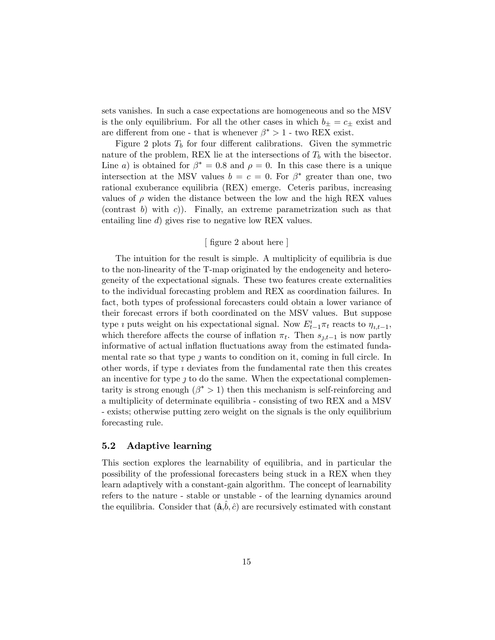sets vanishes. In such a case expectations are homogeneous and so the MSV is the only equilibrium. For all the other cases in which  $b_{\pm} = c_{\pm}$  exist and are different from one - that is whenever  $\beta^* > 1$  - two REX exist.

Figure 2 plots  $T<sub>b</sub>$  for four different calibrations. Given the symmetric nature of the problem, REX lie at the intersections of  $T_b$  with the bisector. Line a) is obtained for  $\beta^* = 0.8$  and  $\rho = 0$ . In this case there is a unique intersection at the MSV values  $b = c = 0$ . For  $\beta^*$  greater than one, two rational exuberance equilibria (REX) emerge. Ceteris paribus, increasing values of  $\rho$  widen the distance between the low and the high REX values (contrast b) with c)). Finally, an extreme parametrization such as that entailing line d) gives rise to negative low REX values.

#### [ figure 2 about here ]

The intuition for the result is simple. A multiplicity of equilibria is due to the non-linearity of the T-map originated by the endogeneity and heterogeneity of the expectational signals. These two features create externalities to the individual forecasting problem and REX as coordination failures. In fact, both types of professional forecasters could obtain a lower variance of their forecast errors if both coordinated on the MSV values. But suppose type  $i$  puts weight on his expectational signal. Now  $E_{t-1}^i \pi_t$  reacts to  $\eta_{i,t-1}$ , which therefore affects the course of inflation  $\pi_t$ . Then  $s_{j,t-1}$  is now partly informative of actual inflation fluctuations away from the estimated fundamental rate so that type  $\jmath$  wants to condition on it, coming in full circle. In other words, if type  $i$  deviates from the fundamental rate then this creates an incentive for type  $\gamma$  to do the same. When the expectational complementarity is strong enough  $(\beta^* > 1)$  then this mechanism is self-reinforcing and a multiplicity of determinate equilibria - consisting of two REX and a MSV - exists; otherwise putting zero weight on the signals is the only equilibrium forecasting rule.

#### 5.2 Adaptive learning

This section explores the learnability of equilibria, and in particular the possibility of the professional forecasters being stuck in a REX when they learn adaptively with a constant-gain algorithm. The concept of learnability refers to the nature - stable or unstable - of the learning dynamics around the equilibria. Consider that  $(\hat{\mathbf{a}}, \hat{b}, \hat{c})$  are recursively estimated with constant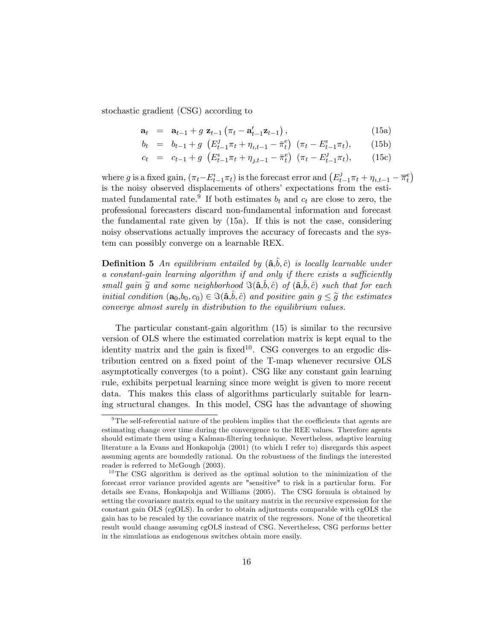stochastic gradient (CSG) according to

$$
\mathbf{a}_{t} = \mathbf{a}_{t-1} + g \mathbf{z}_{t-1} \left( \pi_t - \mathbf{a}'_{t-1} \mathbf{z}_{t-1} \right), \qquad (15a)
$$

$$
b_t = b_{t-1} + g \left( E_{t-1}^j \pi_t + \eta_{i,t-1} - \bar{\pi}_t^e \right) (\pi_t - E_{t-1}^i \pi_t), \tag{15b}
$$

$$
c_t = c_{t-1} + g \left( E_{t-1}^i \pi_t + \eta_{j,t-1} - \overline{\pi}_t^e \right) (\pi_t - E_{t-1}^j \pi_t), \tag{15c}
$$

where g is a fixed gain,  $(\pi_t - E_{t-1}^i \pi_t)$  is the forecast error and  $(E_t^j)$  $t_{t-1}^j \pi_t + \eta_{i,t-1} - \overline{\pi}_t^e$ is the noisy observed displacements of others' expectations from the estimated fundamental rate.<sup>9</sup> If both estimates  $b_t$  and  $c_t$  are close to zero, the professional forecasters discard non-fundamental information and forecast the fundamental rate given by (15a). If this is not the case, considering noisy observations actually improves the accuracy of forecasts and the system can possibly converge on a learnable REX.

**Definition 5** An equilibrium entailed by  $(\hat{\mathbf{a}}, \hat{b}, \hat{c})$  is locally learnable under a constant-gain learning algorithm if and only if there exists a sufficiently small gain  $\widetilde{g}$  and some neighborhood  $\Im(\hat{a}, \hat{b}, \hat{c})$  of  $(\hat{a}, \hat{b}, \hat{c})$  such that for each  $\chi$ initial condition  $(\mathbf{a}_0, b_0, c_0) \in \Im(\hat{\mathbf{a}}, \hat{b}, \hat{c})$  and positive gain  $g \leq \tilde{g}$  the estimates converge almost surely in distribution to the equilibrium values.

The particular constant-gain algorithm (15) is similar to the recursive version of OLS where the estimated correlation matrix is kept equal to the identity matrix and the gain is fixed<sup>10</sup>. CSG converges to an ergodic distribution centred on a fixed point of the T-map whenever recursive OLS asymptotically converges (to a point). CSG like any constant gain learning rule, exhibits perpetual learning since more weight is given to more recent data. This makes this class of algorithms particularly suitable for learning structural changes. In this model, CSG has the advantage of showing

 $9$ The self-referential nature of the problem implies that the coefficients that agents are estimating change over time during the convergence to the REE values. Therefore agents should estimate them using a Kalman-Öltering technique. Nevertheless, adaptive learning literature a la Evans and Honkapohja (2001) (to which I refer to) disregards this aspect assuming agents are boundedly rational. On the robustness of the findings the interested reader is referred to McGough (2003).

 $10$ The CSG algorithm is derived as the optimal solution to the minimization of the forecast error variance provided agents are "sensitive" to risk in a particular form. For details see Evans, Honkapohja and Williams (2005). The CSG formula is obtained by setting the covariance matrix equal to the unitary matrix in the recursive expression for the constant gain OLS (cgOLS). In order to obtain adjustments comparable with cgOLS the gain has to be rescaled by the covariance matrix of the regressors. None of the theoretical result would change assuming cgOLS instead of CSG. Nevertheless, CSG performs better in the simulations as endogenous switches obtain more easily.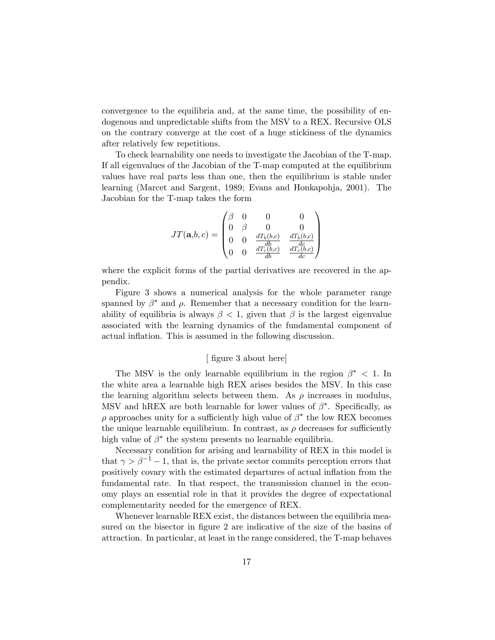convergence to the equilibria and, at the same time, the possibility of endogenous and unpredictable shifts from the MSV to a REX. Recursive OLS on the contrary converge at the cost of a huge stickiness of the dynamics after relatively few repetitions.

To check learnability one needs to investigate the Jacobian of the T-map. If all eigenvalues of the Jacobian of the T-map computed at the equilibrium values have real parts less than one, then the equilibrium is stable under learning (Marcet and Sargent, 1989; Evans and Honkapohja, 2001). The Jacobian for the T-map takes the form

$$
JT(\mathbf{a}, b, c) = \begin{pmatrix} \beta & 0 & 0 & 0 \\ 0 & \beta & 0 & 0 \\ 0 & 0 & \frac{dT_b(b,c)}{db} & \frac{dT_b(b,c)}{db} \\ 0 & 0 & \frac{dT_c(b,c)}{db} & \frac{dT_c(b,c)}{dc} \end{pmatrix}
$$

where the explicit forms of the partial derivatives are recovered in the appendix.

Figure 3 shows a numerical analysis for the whole parameter range spanned by  $\beta^*$  and  $\rho$ . Remember that a necessary condition for the learnability of equilibria is always  $\beta$  < 1, given that  $\beta$  is the largest eigenvalue associated with the learning dynamics of the fundamental component of actual inflation. This is assumed in the following discussion.

#### [ figure 3 about here]

The MSV is the only learnable equilibrium in the region  $\beta^*$  < 1. In the white area a learnable high REX arises besides the MSV. In this case the learning algorithm selects between them. As  $\rho$  increases in modulus, MSV and hREX are both learnable for lower values of  $\beta^*$ . Specifically, as  $\rho$  approaches unity for a sufficiently high value of  $\beta^*$  the low REX becomes the unique learnable equilibrium. In contrast, as  $\rho$  decreases for sufficiently high value of  $\beta^*$  the system presents no learnable equilibria.

Necessary condition for arising and learnability of REX in this model is that  $\gamma > \beta^{-1} - 1$ , that is, the private sector commits perception errors that positively covary with the estimated departures of actual inflation from the fundamental rate. In that respect, the transmission channel in the economy plays an essential role in that it provides the degree of expectational complementarity needed for the emergence of REX.

Whenever learnable REX exist, the distances between the equilibria measured on the bisector in figure 2 are indicative of the size of the basins of attraction. In particular, at least in the range considered, the T-map behaves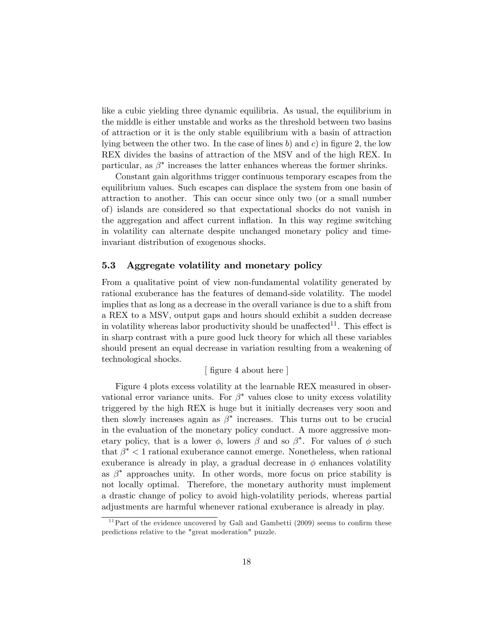like a cubic yielding three dynamic equilibria. As usual, the equilibrium in the middle is either unstable and works as the threshold between two basins of attraction or it is the only stable equilibrium with a basin of attraction lying between the other two. In the case of lines b) and c) in figure 2, the low REX divides the basins of attraction of the MSV and of the high REX. In particular, as  $\beta^*$  increases the latter enhances whereas the former shrinks.

Constant gain algorithms trigger continuous temporary escapes from the equilibrium values. Such escapes can displace the system from one basin of attraction to another. This can occur since only two (or a small number of) islands are considered so that expectational shocks do not vanish in the aggregation and affect current inflation. In this way regime switching in volatility can alternate despite unchanged monetary policy and timeinvariant distribution of exogenous shocks.

#### 5.3 Aggregate volatility and monetary policy

From a qualitative point of view non-fundamental volatility generated by rational exuberance has the features of demand-side volatility. The model implies that as long as a decrease in the overall variance is due to a shift from a REX to a MSV, output gaps and hours should exhibit a sudden decrease in volatility whereas labor productivity should be unaffected<sup>11</sup>. This effect is in sharp contrast with a pure good luck theory for which all these variables should present an equal decrease in variation resulting from a weakening of technological shocks.

#### [ figure 4 about here ]

Figure 4 plots excess volatility at the learnable REX measured in observational error variance units. For  $\beta^*$  values close to unity excess volatility triggered by the high REX is huge but it initially decreases very soon and then slowly increases again as  $\beta^*$  increases. This turns out to be crucial in the evaluation of the monetary policy conduct. A more aggressive monetary policy, that is a lower  $\phi$ , lowers  $\beta$  and so  $\beta^*$ . For values of  $\phi$  such that  $\beta^*$  < 1 rational exuberance cannot emerge. Nonetheless, when rational exuberance is already in play, a gradual decrease in  $\phi$  enhances volatility as  $\beta^*$  approaches unity. In other words, more focus on price stability is not locally optimal. Therefore, the monetary authority must implement a drastic change of policy to avoid high-volatility periods, whereas partial adjustments are harmful whenever rational exuberance is already in play.

 $11$ Part of the evidence uncovered by Galì and Gambetti (2009) seems to confirm these predictions relative to the "great moderation" puzzle.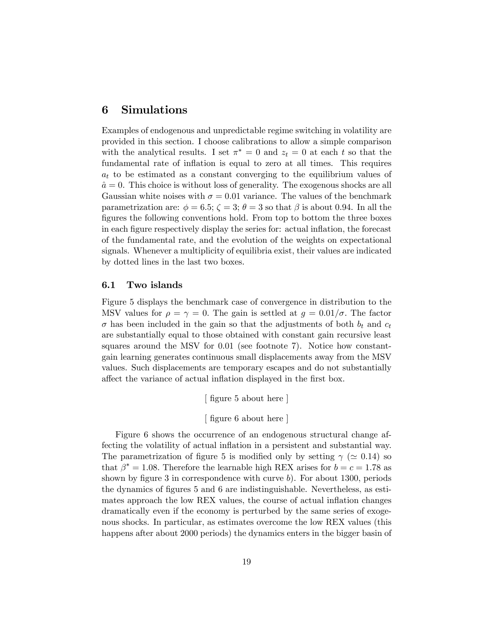### 6 Simulations

Examples of endogenous and unpredictable regime switching in volatility are provided in this section. I choose calibrations to allow a simple comparison with the analytical results. I set  $\pi^* = 0$  and  $z_t = 0$  at each t so that the fundamental rate of inflation is equal to zero at all times. This requires  $a_t$  to be estimated as a constant converging to the equilibrium values of  $\hat{a} = 0$ . This choice is without loss of generality. The exogenous shocks are all Gaussian white noises with  $\sigma = 0.01$  variance. The values of the benchmark parametrization are:  $\phi = 6.5$ ;  $\zeta = 3$ ;  $\theta = 3$  so that  $\beta$  is about 0.94. In all the figures the following conventions hold. From top to bottom the three boxes in each figure respectively display the series for: actual inflation, the forecast of the fundamental rate, and the evolution of the weights on expectational signals. Whenever a multiplicity of equilibria exist, their values are indicated by dotted lines in the last two boxes.

#### 6.1 Two islands

Figure 5 displays the benchmark case of convergence in distribution to the MSV values for  $\rho = \gamma = 0$ . The gain is settled at  $g = 0.01/\sigma$ . The factor  $\sigma$  has been included in the gain so that the adjustments of both  $b_t$  and  $c_t$ are substantially equal to those obtained with constant gain recursive least squares around the MSV for 0.01 (see footnote 7). Notice how constantgain learning generates continuous small displacements away from the MSV values. Such displacements are temporary escapes and do not substantially affect the variance of actual inflation displayed in the first box.

> [figure 5 about here] [ figure 6 about here ]

Figure 6 shows the occurrence of an endogenous structural change affecting the volatility of actual inflation in a persistent and substantial way. The parametrization of figure 5 is modified only by setting  $\gamma$  ( $\simeq 0.14$ ) so that  $\beta^* = 1.08$ . Therefore the learnable high REX arises for  $b = c = 1.78$  as shown by figure 3 in correspondence with curve  $b$ ). For about 1300, periods the dynamics of figures 5 and 6 are indistinguishable. Nevertheless, as estimates approach the low REX values, the course of actual inflation changes dramatically even if the economy is perturbed by the same series of exogenous shocks. In particular, as estimates overcome the low REX values (this happens after about 2000 periods) the dynamics enters in the bigger basin of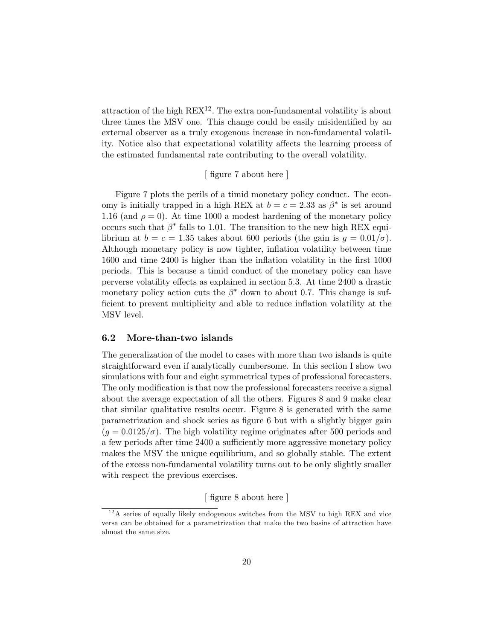attraction of the high  $REX^{12}$ . The extra non-fundamental volatility is about three times the MSV one. This change could be easily misidentified by an external observer as a truly exogenous increase in non-fundamental volatility. Notice also that expectational volatility affects the learning process of the estimated fundamental rate contributing to the overall volatility.

#### [ figure 7 about here ]

Figure 7 plots the perils of a timid monetary policy conduct. The economy is initially trapped in a high REX at  $b = c = 2.33$  as  $\beta^*$  is set around 1.16 (and  $\rho = 0$ ). At time 1000 a modest hardening of the monetary policy occurs such that  $\beta^*$  falls to 1.01. The transition to the new high REX equilibrium at  $b = c = 1.35$  takes about 600 periods (the gain is  $q = 0.01/\sigma$ ). Although monetary policy is now tighter, inflation volatility between time 1600 and time 2400 is higher than the inflation volatility in the first 1000 periods. This is because a timid conduct of the monetary policy can have perverse volatility effects as explained in section 5.3. At time 2400 a drastic monetary policy action cuts the  $\beta^*$  down to about 0.7. This change is sufficient to prevent multiplicity and able to reduce inflation volatility at the MSV level.

#### 6.2 More-than-two islands

The generalization of the model to cases with more than two islands is quite straightforward even if analytically cumbersome. In this section I show two simulations with four and eight symmetrical types of professional forecasters. The only modification is that now the professional forecasters receive a signal about the average expectation of all the others. Figures 8 and 9 make clear that similar qualitative results occur. Figure 8 is generated with the same parametrization and shock series as figure 6 but with a slightly bigger gain  $(q = 0.0125/\sigma)$ . The high volatility regime originates after 500 periods and a few periods after time 2400 a sufficiently more aggressive monetary policy makes the MSV the unique equilibrium, and so globally stable. The extent of the excess non-fundamental volatility turns out to be only slightly smaller with respect the previous exercises.

#### [ figure 8 about here ]

 $12\text{ Å}$  series of equally likely endogenous switches from the MSV to high REX and vice versa can be obtained for a parametrization that make the two basins of attraction have almost the same size.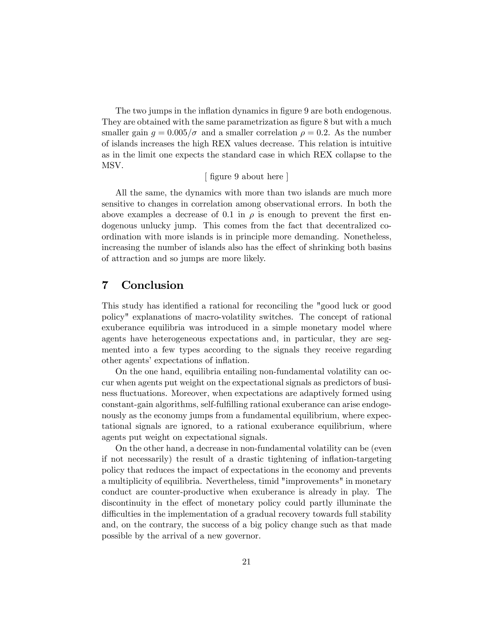The two jumps in the inflation dynamics in figure 9 are both endogenous. They are obtained with the same parametrization as figure 8 but with a much smaller gain  $g = 0.005/\sigma$  and a smaller correlation  $\rho = 0.2$ . As the number of islands increases the high REX values decrease. This relation is intuitive as in the limit one expects the standard case in which REX collapse to the MSV.

[ figure 9 about here ]

All the same, the dynamics with more than two islands are much more sensitive to changes in correlation among observational errors. In both the above examples a decrease of 0.1 in  $\rho$  is enough to prevent the first endogenous unlucky jump. This comes from the fact that decentralized coordination with more islands is in principle more demanding. Nonetheless, increasing the number of islands also has the effect of shrinking both basins of attraction and so jumps are more likely.

## 7 Conclusion

This study has identified a rational for reconciling the "good luck or good policy" explanations of macro-volatility switches. The concept of rational exuberance equilibria was introduced in a simple monetary model where agents have heterogeneous expectations and, in particular, they are segmented into a few types according to the signals they receive regarding other agents' expectations of inflation.

On the one hand, equilibria entailing non-fundamental volatility can occur when agents put weight on the expectational signals as predictors of business fluctuations. Moreover, when expectations are adaptively formed using constant-gain algorithms, self-fulfilling rational exuberance can arise endogenously as the economy jumps from a fundamental equilibrium, where expectational signals are ignored, to a rational exuberance equilibrium, where agents put weight on expectational signals.

On the other hand, a decrease in non-fundamental volatility can be (even if not necessarily) the result of a drastic tightening of inflation-targeting policy that reduces the impact of expectations in the economy and prevents a multiplicity of equilibria. Nevertheless, timid "improvements" in monetary conduct are counter-productive when exuberance is already in play. The discontinuity in the effect of monetary policy could partly illuminate the difficulties in the implementation of a gradual recovery towards full stability and, on the contrary, the success of a big policy change such as that made possible by the arrival of a new governor.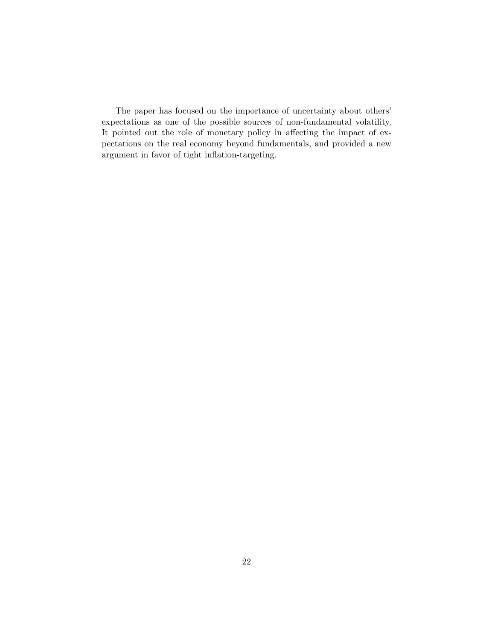The paper has focused on the importance of uncertainty about others' expectations as one of the possible sources of non-fundamental volatility. It pointed out the role of monetary policy in affecting the impact of expectations on the real economy beyond fundamentals, and provided a new argument in favor of tight inflation-targeting.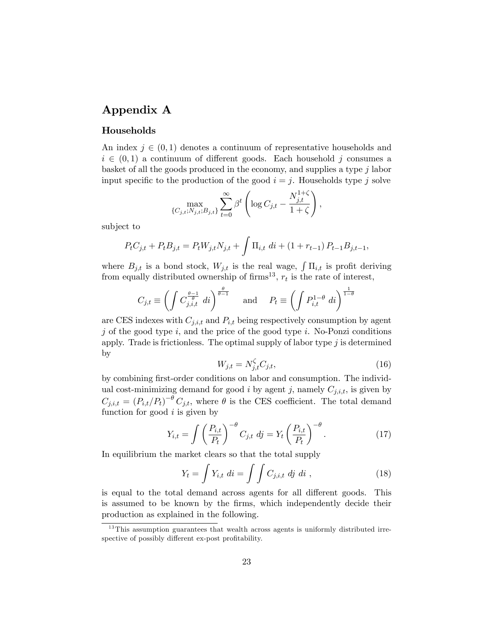## Appendix A

#### Households

An index  $j \in (0, 1)$  denotes a continuum of representative households and  $i \in (0, 1)$  a continuum of different goods. Each household j consumes a basket of all the goods produced in the economy, and supplies a type  $j$  labor input specific to the production of the good  $i = j$ . Households type j solve

$$
\max_{\{C_{j,t}; N_{j,t}; B_{j,t}\}} \sum_{t=0}^{\infty} \beta^t \left( \log C_{j,t} - \frac{N_{j,t}^{1+\zeta}}{1+\zeta} \right),\,
$$

subject to

$$
P_t C_{j,t} + P_t B_{j,t} = P_t W_{j,t} N_{j,t} + \int \Pi_{i,t} \, dt + (1 + r_{t-1}) P_{t-1} B_{j,t-1},
$$

where  $B_{j,t}$  is a bond stock,  $W_{j,t}$  is the real wage,  $\int \Pi_{i,t}$  is profit deriving from equally distributed ownership of firms<sup>13</sup>,  $r_t$  is the rate of interest,

$$
C_{j,t} \equiv \left(\int C_{j,i,t}^{\frac{\theta-1}{\theta}} di\right)^{\frac{\theta}{\theta-1}} \quad \text{and} \quad P_t \equiv \left(\int P_{i,t}^{1-\theta} di\right)^{\frac{1}{1-\theta}}
$$

are CES indexes with  $C_{j,i,t}$  and  $P_{i,t}$  being respectively consumption by agent  $j$  of the good type  $i$ , and the price of the good type  $i$ . No-Ponzi conditions apply. Trade is frictionless. The optimal supply of labor type  $j$  is determined by

$$
W_{j,t} = N_{j,t}^{\zeta} C_{j,t},\tag{16}
$$

by combining Örst-order conditions on labor and consumption. The individual cost-minimizing demand for good i by agent j, namely  $C_{j,i,t}$ , is given by  $C_{j,i,t} = (P_{i,t}/P_t)^{-\theta} C_{j,t}$ , where  $\theta$  is the CES coefficient. The total demand function for good  $i$  is given by

$$
Y_{i,t} = \int \left(\frac{P_{i,t}}{P_t}\right)^{-\theta} C_{j,t} \, dj = Y_t \left(\frac{P_{i,t}}{P_t}\right)^{-\theta}.
$$
 (17)

In equilibrium the market clears so that the total supply

$$
Y_t = \int Y_{i,t} \, di = \int \int C_{j,i,t} \, dj \, di \,, \tag{18}
$$

is equal to the total demand across agents for all different goods. This is assumed to be known by the firms, which independently decide their production as explained in the following.

<sup>&</sup>lt;sup>13</sup>This assumption guarantees that wealth across agents is uniformly distributed irrespective of possibly different ex-post profitability.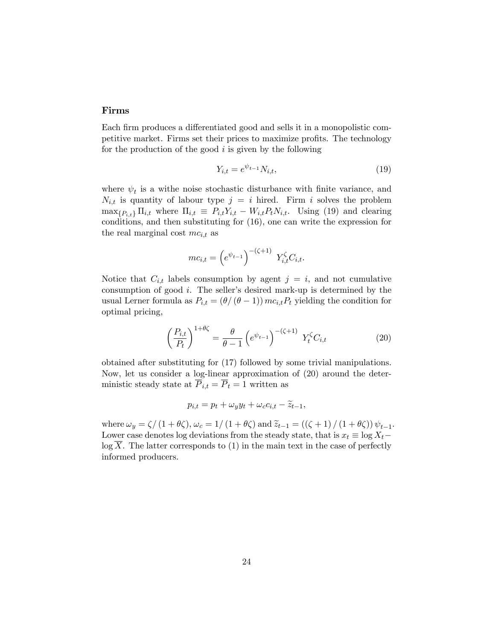#### Firms

Each firm produces a differentiated good and sells it in a monopolistic competitive market. Firms set their prices to maximize profits. The technology for the production of the good  $i$  is given by the following

$$
Y_{i,t} = e^{\psi_{t-1}} N_{i,t},
$$
\n(19)

where  $\psi_t$  is a withe noise stochastic disturbance with finite variance, and  $N_{i,t}$  is quantity of labour type  $j = i$  hired. Firm i solves the problem  $\max_{\{P_{i,t}\}} \Pi_{i,t}$  where  $\Pi_{i,t} \equiv P_{i,t}Y_{i,t} - W_{i,t}P_tN_{i,t}$ . Using (19) and clearing conditions, and then substituting for (16), one can write the expression for the real marginal cost  $mc_{i,t}$  as

$$
mc_{i,t} = \left(e^{\psi_{t-1}}\right)^{-(\zeta+1)} Y_{i,t}^{\zeta} C_{i,t}.
$$

Notice that  $C_{i,t}$  labels consumption by agent  $j = i$ , and not cumulative consumption of good  $i$ . The seller's desired mark-up is determined by the usual Lerner formula as  $P_{i,t} = (\theta/(\theta - 1)) mc_{i,t} P_t$  yielding the condition for optimal pricing,

$$
\left(\frac{P_{i,t}}{P_t}\right)^{1+\theta\zeta} = \frac{\theta}{\theta-1} \left(e^{\psi_{t-1}}\right)^{-(\zeta+1)} Y_t^{\zeta} C_{i,t} \tag{20}
$$

obtained after substituting for (17) followed by some trivial manipulations. Now, let us consider a log-linear approximation of (20) around the deterministic steady state at  $\overline{P}_{i,t} = \overline{P}_t = 1$  written as

$$
p_{i,t} = p_t + \omega_y y_t + \omega_c c_{i,t} - \widetilde{z}_{t-1},
$$

where  $\omega_y = \zeta / (1 + \theta \zeta), \omega_c = 1 / (1 + \theta \zeta)$  and  $\tilde{z}_{t-1} = ((\zeta + 1) / (1 + \theta \zeta)) \psi_{t-1}$ . Lower case denotes log deviations from the steady state, that is  $x_t \equiv \log X_t$  $log X$ . The latter corresponds to  $(1)$  in the main text in the case of perfectly informed producers.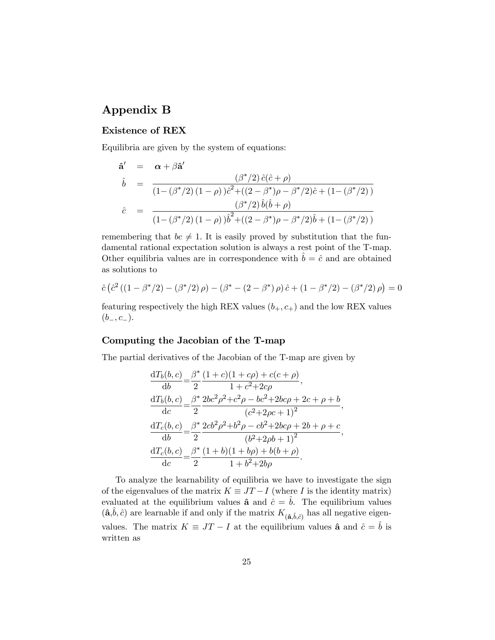## Appendix B

#### Existence of REX

Equilibria are given by the system of equations:

$$
\hat{\mathbf{a}}' = \alpha + \beta \hat{\mathbf{a}}'
$$
\n
$$
\hat{b} = \frac{(\beta^*/2) \hat{c}(\hat{c} + \rho)}{(1 - (\beta^*/2) (1 - \rho)) \hat{c}^2 + ((2 - \beta^*) \rho - \beta^*/2) \hat{c} + (1 - (\beta^*/2))}
$$
\n
$$
\hat{c} = \frac{(\beta^*/2) \hat{b}(\hat{b} + \rho)}{(1 - (\beta^*/2) (1 - \rho)) \hat{b}^2 + ((2 - \beta^*) \rho - \beta^*/2) \hat{b} + (1 - (\beta^*/2))}
$$

remembering that  $bc \neq 1$ . It is easily proved by substitution that the fundamental rational expectation solution is always a rest point of the T-map. Other equilibria values are in correspondence with  $\ddot{b} = \hat{c}$  and are obtained as solutions to

$$
\hat{c} \left( \hat{c}^2 \left( (1 - \beta^*/2) - (\beta^*/2) \rho \right) - (\beta^* - (2 - \beta^*) \rho \right) \hat{c} + (1 - \beta^*/2) - (\beta^*/2) \rho \right) = 0
$$

featuring respectively the high REX values  $(b_+, c_+)$  and the low REX values  $(b_-, c_-).$ 

#### Computing the Jacobian of the T-map

The partial derivatives of the Jacobian of the T-map are given by

$$
\frac{d T_b(b,c)}{db} = \frac{\beta^*}{2} \frac{(1+c)(1+c\rho) + c(c+\rho)}{1+c^2+2c\rho},
$$
  
\n
$$
\frac{d T_b(b,c)}{dc} = \frac{\beta^*}{2} \frac{2bc^2\rho^2+c^2\rho - bc^2+2b c\rho + 2c + \rho + b}{(c^2+2\rho c+1)^2},
$$
  
\n
$$
\frac{d T_c(b,c)}{db} = \frac{\beta^*}{2} \frac{2cb^2\rho^2+b^2\rho - cb^2+2b c\rho + 2b + \rho + c}{(b^2+2\rho b+1)^2},
$$
  
\n
$$
\frac{d T_c(b,c)}{dc} = \frac{\beta^*}{2} \frac{(1+b)(1+b\rho) + b(b+\rho)}{1+b^2+2b\rho}.
$$

To analyze the learnability of equilibria we have to investigate the sign of the eigenvalues of the matrix  $K \equiv JT - I$  (where I is the identity matrix) evaluated at the equilibrium values  $\hat{a}$  and  $\hat{c} = b$ . The equilibrium values  $(\hat{\bf a}, \hat{b}, \hat{c})$  are learnable if and only if the matrix  $K_{(\hat{\bf a}, \hat{b}, \hat{c})}$  has all negative eigenvalues. The matrix  $K \equiv JT - I$  at the equilibrium values  $\hat{\mathbf{a}}$  and  $\hat{c} = \hat{b}$  is written as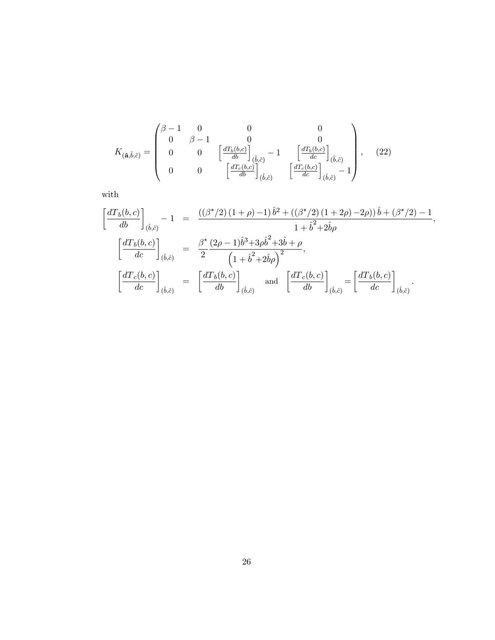$$
K_{(\hat{\mathbf{a}},\hat{b},\hat{c})} = \begin{pmatrix} \beta - 1 & 0 & 0 & 0 \\ 0 & \beta - 1 & 0 & 0 \\ 0 & 0 & \left[\frac{dT_b(b,c)}{db}\right]_{(\hat{b},\hat{c})} - 1 & \left[\frac{dT_b(b,c)}{dc}\right]_{(\hat{b},\hat{c})} \\ 0 & 0 & \left[\frac{dT_c(b,c)}{db}\right]_{(\hat{b},\hat{c})} & \left[\frac{dT_c(b,c)}{dc}\right]_{(\hat{b},\hat{c})} - 1 \end{pmatrix}, \quad (22)
$$

with

$$
\begin{aligned}\n\left[\frac{dT_b(b,c)}{db}\right]_{(\hat{b},\hat{c})} - 1 &= \frac{\left((\beta^*/2)(1+\rho)-1\right)\hat{b}^2 + \left((\beta^*/2)(1+2\rho)-2\rho\right)\hat{b} + (\beta^*/2) - 1}{1+\hat{b}^2+2\hat{b}\rho}, \\
\left[\frac{dT_b(b,c)}{dc}\right]_{(\hat{b},\hat{c})} &= \frac{\beta^* \left(2\rho-1\right)\hat{b}^3+3\rho\hat{b}^2+3\hat{b}+\rho}{\left(1+\hat{b}^2+2\hat{b}\rho\right)^2}, \\
\left[\frac{dT_c(b,c)}{dc}\right]_{(\hat{b},\hat{c})} &= \left[\frac{dT_b(b,c)}{db}\right]_{(\hat{b},\hat{c})} \text{ and } \left[\frac{dT_c(b,c)}{db}\right]_{(\hat{b},\hat{c})} = \left[\frac{dT_b(b,c)}{dc}\right]_{(\hat{b},\hat{c})}.\n\end{aligned}
$$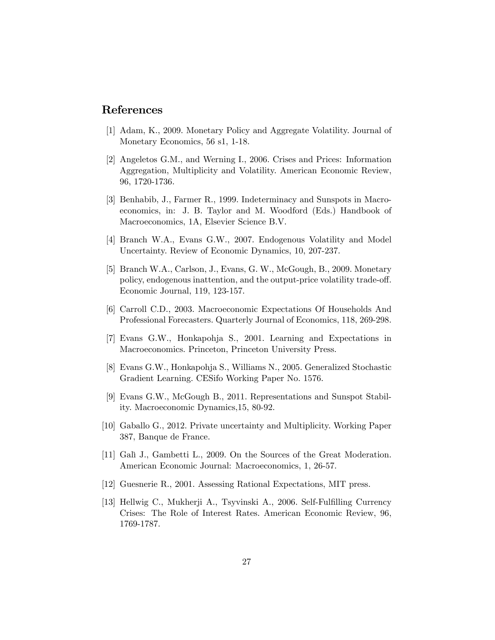## References

- [1] Adam, K., 2009. Monetary Policy and Aggregate Volatility. Journal of Monetary Economics, 56 s1, 1-18.
- [2] Angeletos G.M., and Werning I., 2006. Crises and Prices: Information Aggregation, Multiplicity and Volatility. American Economic Review, 96, 1720-1736.
- [3] Benhabib, J., Farmer R., 1999. Indeterminacy and Sunspots in Macroeconomics, in: J. B. Taylor and M. Woodford (Eds.) Handbook of Macroeconomics, 1A, Elsevier Science B.V.
- [4] Branch W.A., Evans G.W., 2007. Endogenous Volatility and Model Uncertainty. Review of Economic Dynamics, 10, 207-237.
- [5] Branch W.A., Carlson, J., Evans, G. W., McGough, B., 2009. Monetary policy, endogenous inattention, and the output-price volatility trade-off. Economic Journal, 119, 123-157.
- [6] Carroll C.D., 2003. Macroeconomic Expectations Of Households And Professional Forecasters. Quarterly Journal of Economics, 118, 269-298.
- [7] Evans G.W., Honkapohja S., 2001. Learning and Expectations in Macroeconomics. Princeton, Princeton University Press.
- [8] Evans G.W., Honkapohja S., Williams N., 2005. Generalized Stochastic Gradient Learning. CESifo Working Paper No. 1576.
- [9] Evans G.W., McGough B., 2011. Representations and Sunspot Stability. Macroeconomic Dynamics,15, 80-92.
- [10] Gaballo G., 2012. Private uncertainty and Multiplicity. Working Paper 387, Banque de France.
- [11] Galì J., Gambetti L., 2009. On the Sources of the Great Moderation. American Economic Journal: Macroeconomics, 1, 26-57.
- [12] Guesnerie R., 2001. Assessing Rational Expectations, MIT press.
- [13] Hellwig C., Mukherji A., Tsyvinski A., 2006. Self-Fulfilling Currency Crises: The Role of Interest Rates. American Economic Review, 96, 1769-1787.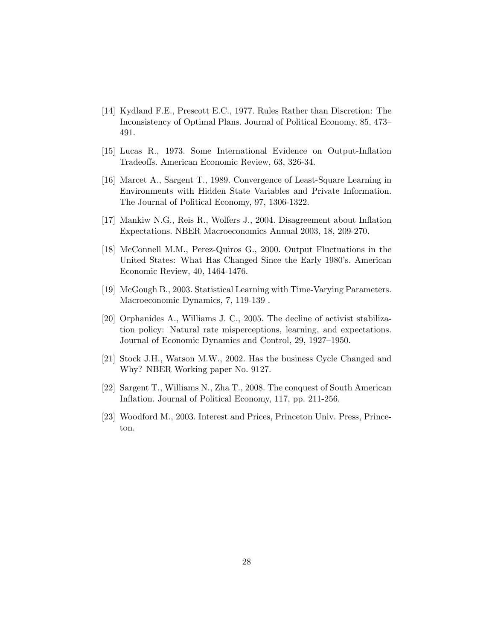- [14] Kydland F.E., Prescott E.C., 1977. Rules Rather than Discretion: The Inconsistency of Optimal Plans. Journal of Political Economy, 85, 473– 491.
- [15] Lucas R., 1973. Some International Evidence on Output-Ináation Tradeo§s. American Economic Review, 63, 326-34.
- [16] Marcet A., Sargent T., 1989. Convergence of Least-Square Learning in Environments with Hidden State Variables and Private Information. The Journal of Political Economy, 97, 1306-1322.
- [17] Mankiw N.G., Reis R., Wolfers J., 2004. Disagreement about Ináation Expectations. NBER Macroeconomics Annual 2003, 18, 209-270.
- [18] McConnell M.M., Perez-Quiros G., 2000. Output Fluctuations in the United States: What Has Changed Since the Early 1980's. American Economic Review, 40, 1464-1476.
- [19] McGough B., 2003. Statistical Learning with Time-Varying Parameters. Macroeconomic Dynamics, 7, 119-139 .
- [20] Orphanides A., Williams J. C., 2005. The decline of activist stabilization policy: Natural rate misperceptions, learning, and expectations. Journal of Economic Dynamics and Control, 29, 1927–1950.
- [21] Stock J.H., Watson M.W., 2002. Has the business Cycle Changed and Why? NBER Working paper No. 9127.
- [22] Sargent T., Williams N., Zha T., 2008. The conquest of South American Inflation. Journal of Political Economy, 117, pp. 211-256.
- [23] Woodford M., 2003. Interest and Prices, Princeton Univ. Press, Princeton.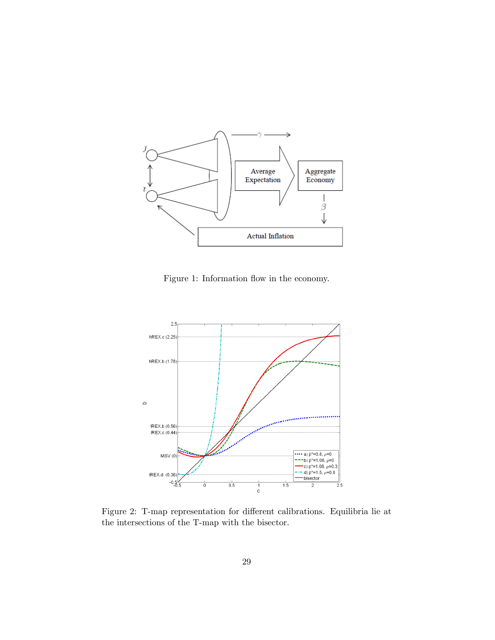

Figure 1: Information flow in the economy.



Figure 2: T-map representation for different calibrations. Equilibria lie at the intersections of the T-map with the bisector.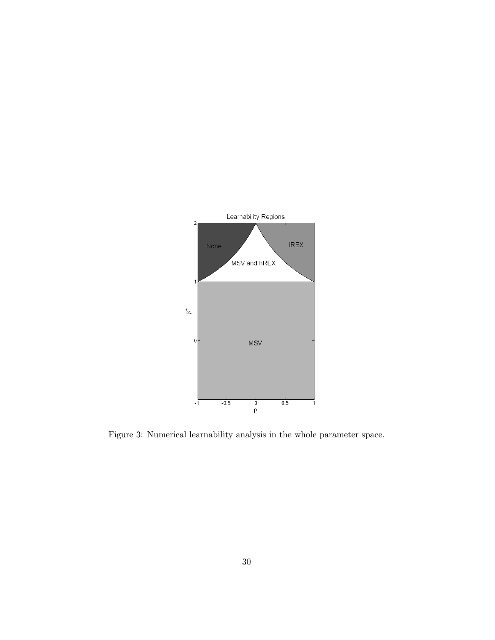

Figure 3: Numerical learnability analysis in the whole parameter space.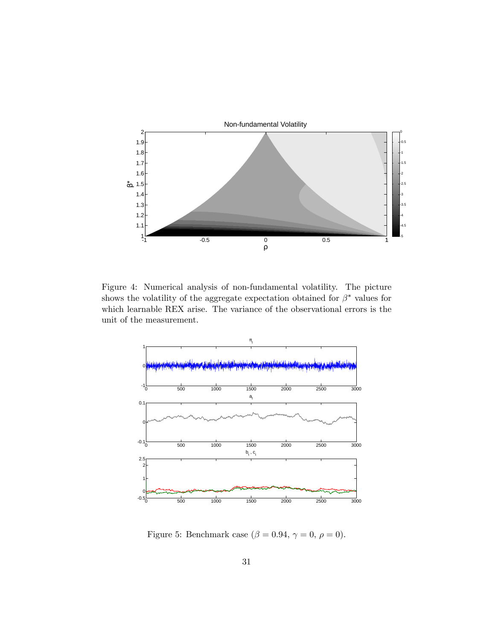

Figure 4: Numerical analysis of non-fundamental volatility. The picture shows the volatility of the aggregate expectation obtained for  $\beta^*$  values for which learnable REX arise. The variance of the observational errors is the unit of the measurement.



Figure 5: Benchmark case ( $\beta = 0.94, \, \gamma = 0, \, \rho = 0$ ).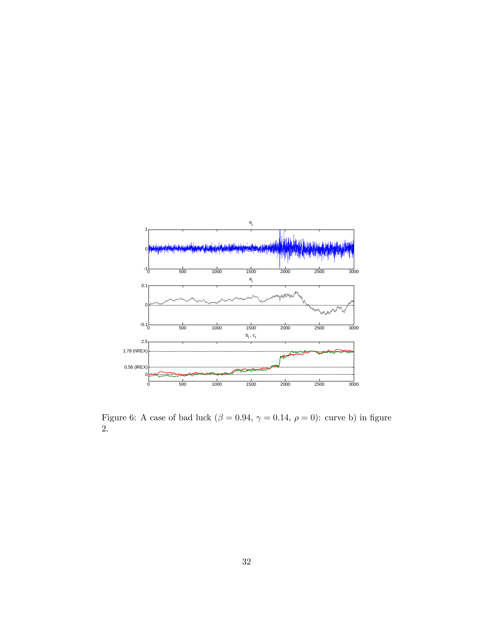

Figure 6: A case of bad luck ( $\beta = 0.94$ ,  $\gamma = 0.14$ ,  $\rho = 0$ ): curve b) in figure 2.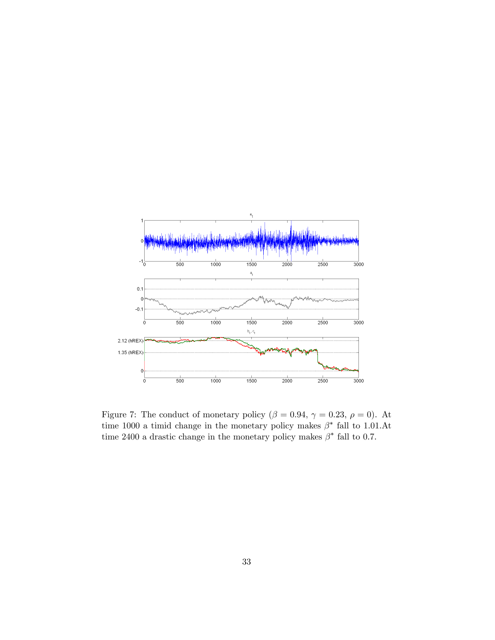

Figure 7: The conduct of monetary policy ( $\beta = 0.94$ ,  $\gamma = 0.23$ ,  $\rho = 0$ ). At time 1000 a timid change in the monetary policy makes  $\beta^*$  fall to 1.01.At time 2400 a drastic change in the monetary policy makes  $\beta^*$  fall to 0.7.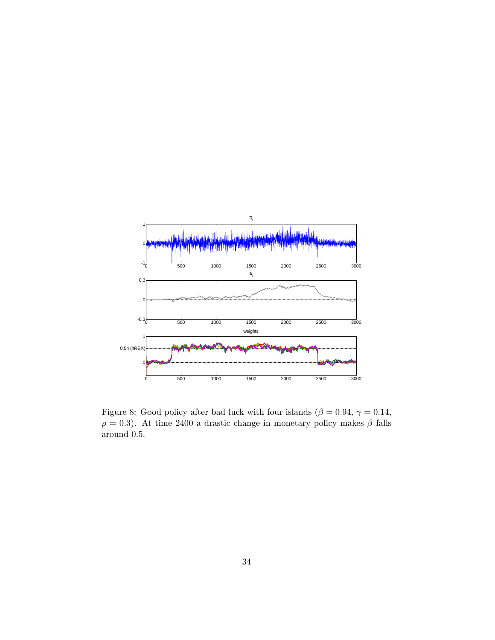

Figure 8: Good policy after bad luck with four islands ( $\beta = 0.94$ ,  $\gamma = 0.14$ ,  $\rho = 0.3$ ). At time 2400 a drastic change in monetary policy makes  $\beta$  falls around  $0.5.$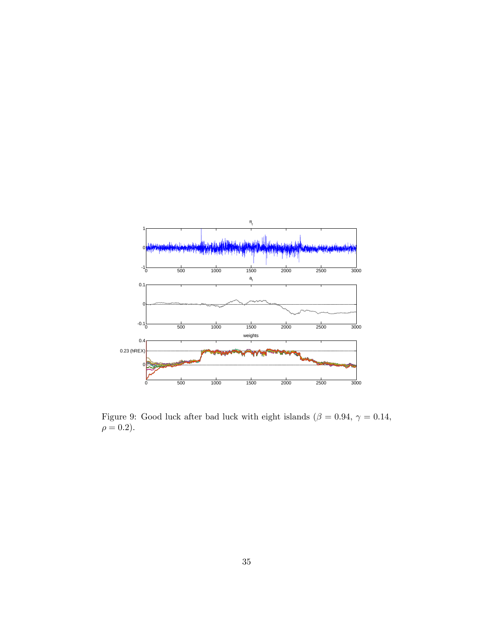

Figure 9: Good luck after bad luck with eight islands ( $\beta = 0.94$ ,  $\gamma = 0.14$ ,  $\rho = 0.2$ ).